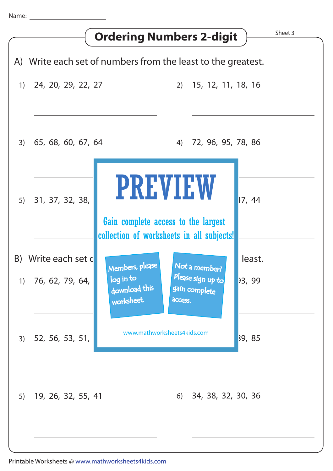